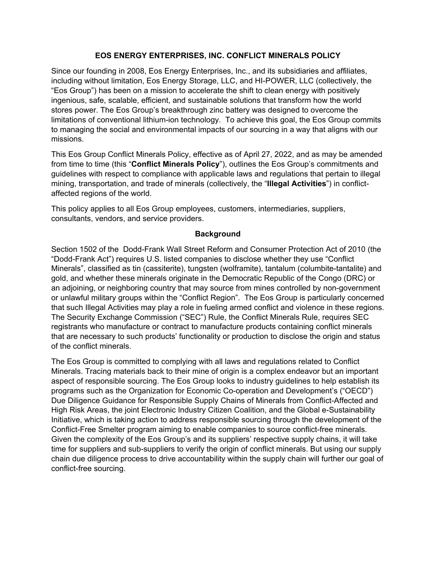## **EOS ENERGY ENTERPRISES, INC. CONFLICT MINERALS POLICY**

Since our founding in 2008, Eos Energy Enterprises, Inc., and its subsidiaries and affiliates, including without limitation, Eos Energy Storage, LLC, and HI-POWER, LLC (collectively, the "Eos Group") has been on a mission to accelerate the shift to clean energy with positively ingenious, safe, scalable, efficient, and sustainable solutions that transform how the world stores power. The Eos Group's breakthrough zinc battery was designed to overcome the limitations of conventional lithium-ion technology. To achieve this goal, the Eos Group commits to managing the social and environmental impacts of our sourcing in a way that aligns with our missions.

This Eos Group Conflict Minerals Policy, effective as of April 27, 2022, and as may be amended from time to time (this "**Conflict Minerals Policy**"), outlines the Eos Group's commitments and guidelines with respect to compliance with applicable laws and regulations that pertain to illegal mining, transportation, and trade of minerals (collectively, the "**Illegal Activities**") in conflictaffected regions of the world.

This policy applies to all Eos Group employees, customers, intermediaries, suppliers, consultants, vendors, and service providers.

## **Background**

Section 1502 of the Dodd-Frank Wall Street Reform and Consumer Protection Act of 2010 (the "Dodd-Frank Act") requires U.S. listed companies to disclose whether they use "Conflict Minerals", classified as tin (cassiterite), tungsten (wolframite), tantalum (columbite-tantalite) and gold, and whether these minerals originate in the Democratic Republic of the Congo (DRC) or an adjoining, or neighboring country that may source from mines controlled by non-government or unlawful military groups within the "Conflict Region". The Eos Group is particularly concerned that such Illegal Activities may play a role in fueling armed conflict and violence in these regions. The Security Exchange Commission ("SEC") Rule, the Conflict Minerals Rule, requires SEC registrants who manufacture or contract to manufacture products containing conflict minerals that are necessary to such products' functionality or production to disclose the origin and status of the conflict minerals.

The Eos Group is committed to complying with all laws and regulations related to Conflict Minerals. Tracing materials back to their mine of origin is a complex endeavor but an important aspect of responsible sourcing. The Eos Group looks to industry guidelines to help establish its programs such as the Organization for Economic Co-operation and Development's ("OECD") Due Diligence Guidance for Responsible Supply Chains of Minerals from Conflict-Affected and High Risk Areas, the joint Electronic Industry Citizen Coalition, and the Global e-Sustainability Initiative, which is taking action to address responsible sourcing through the development of the Conflict-Free Smelter program aiming to enable companies to source conflict-free minerals. Given the complexity of the Eos Group's and its suppliers' respective supply chains, it will take time for suppliers and sub-suppliers to verify the origin of conflict minerals. But using our supply chain due diligence process to drive accountability within the supply chain will further our goal of conflict-free sourcing.